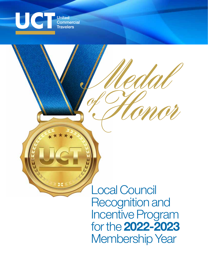

**United Commercial Travelers** 

> Local Council Recognition and Incentive Program for the **2022-2023** Membership Year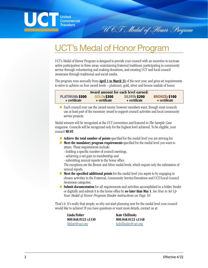UCT Medal of Honor Program

# UCT's Medal of Honor Program

United Commercial **Travelers** 

UCT's Medal of Honor Program is designed to provide your council with an incentive to increase active participation in three areas: maintaining fraternal traditions, participating in community service through volunteering and making donations, and creating UCT and local council awareness through traditional and social media.

The program runs annually from **April 1 to March 31** of the next year, and gives set requirements to strive to achieve on four award levels – platinum, gold, silver and bronze medals of honor.

| Award amount for each level earned: |                    |                      |                      |  |
|-------------------------------------|--------------------|----------------------|----------------------|--|
| <b>PLATINUM: \$500</b>              | <b>GOLD: \$300</b> | <b>SILVER: \$200</b> | <b>BRONZE: \$100</b> |  |
| + certificate                       | + certificate      | + certificate        | + certificate        |  |

■ Each council may use the award money however members want, though most councils use at least part of the monetary award to support council activities and local community service projects.

Medal winners will be recognized at the UCT convention and featured in *The Sample Case* magazine. Councils will be recognized only for the highest level achieved. To be eligible, your council **MUST**:

- **Achieve the total number of points** specified for the medal level you are striving for.
- **Meet the mandatory program requirements** specified for the medal level you want to attain. These requirements include:
	- holding a specific number of council meetings,
	- achieving a net gain in membership and
	- submitting annual reports to the home office.

The exceptions are the Bronze and Silver medal levels, which require only the submission of annual reports.

- **Meet the specified additional points** for the medal level you aspire to by engaging in chosen activities in the Fraternal, Community Service/Donations and UCT/Local Council Awareness categories.
- **Submit documentation** for all requirements and activities accomplished in a folder, binder or digitally and submit it to the home office by **no later than May 1**. *See How to Set Up Your Medal of Honor Program Binder instructions on Page 10.*

That's it. It's really that simple, so why not start planning now for the medal level your council would like to achieve? If you have questions or want more details, contact us at:

**Linda Fisher Kate Chillinsky** 

**800.848.0123 x1130 800.848.0123 x1148** lfisher@uct.org kchillinsky@uct.org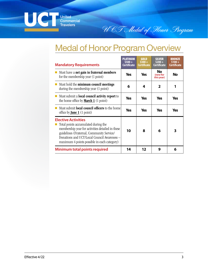

# Medal of Honor Program Overview

UCT Medal of Honor Program

| <b>Mandatory Requirements</b>                                                                                                                                                                                                                                    | PLATINUM<br>$$500+$<br>Certificate | <b>GOLD</b><br>$$300 +$<br>Certificate | <b>SILVER</b><br>$$200 +$<br>Certificate | <b>BRONZE</b><br>$$100+$<br><b>Certificate</b> |
|------------------------------------------------------------------------------------------------------------------------------------------------------------------------------------------------------------------------------------------------------------------|------------------------------------|----------------------------------------|------------------------------------------|------------------------------------------------|
| Must have a net gain in fraternal members<br>for the membership year (1 point)                                                                                                                                                                                   | Yes                                | <b>Yes</b>                             | No<br>(new for<br>this year)             | <b>No</b>                                      |
| Must hold the minimum council meetings<br>during the membership year (1 point)                                                                                                                                                                                   | 6                                  | 4                                      | 2                                        |                                                |
| Must submit a <b>local council activity report</b> to<br>the home office by <b>March 1</b> (1 point)                                                                                                                                                             | Yes                                | <b>Yes</b>                             | <b>Yes</b>                               | <b>Yes</b>                                     |
| Must submit <b>local council officers</b> to the home<br>office by <b><u>June 1</u></b> $(1 \text{ point})$                                                                                                                                                      | Yes                                | <b>Yes</b>                             | <b>Yes</b>                               | <b>Yes</b>                                     |
| <b>Elective Activities</b><br>Total points accumulated during the<br>membership year for activities detailed in these<br>guidelines (Fraternal, Community Service/<br>Donations and UCT/Local Council Awareness -<br>maximum 4 points possible in each category) | 10                                 | 8                                      | 6                                        | 3                                              |
| Minimum total points required                                                                                                                                                                                                                                    | 14                                 | 12                                     | 9                                        | 6                                              |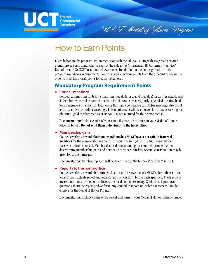UC **United Commercial Travelers** 

UCT Medal of Honor Program

# How to Earn Points

Listed below are the program requirements for each medal level, along with suggested activities, events, projects and donations for each of the categories A) Fraternal, B) Community Service/ Donations and C) UCT/Local Council Awareness. In addition to the points gained from the program mandatory requirements, councils need to acquire points from the different categories in order to meet the overall points for each medal level.

# **Mandatory Program Requirement Points**

#### **• Council meetings**

Conduct a minimum of: **6** for a platinum medal, **4** for a gold medal, **2** for a silver medal, and **1** for a bronze medal. A council meeting in this context is a regularly scheduled meeting held for all members in a physical location or through a conference call. Cyber meetings also count as do executive committee meetings. This requirement will be enforced for councils striving for platinum, gold or silver Medals of Honor. It is not required for the bronze medal.

**Documentation:** Include copies of your council's meeting minutes in your Medal of Honor folder or binder. **Do not send them individually to the home office.**

#### **• Membership gain**

Councils working toward **platinum or gold medals MUST have a net gain in fraternal members** for the membership year April 1 through March 31. This is NOT required for the silver or bronze medal. Member deaths do not count against council numbers when determining membership gain and neither do member transfers. Special consideration may be given for council mergers.

**Documentation:** Membership gain will be determined at the home office after March 31.

#### **• Reports to the home office**

Councils working toward platinum, gold, silver and bronze medals MUST submit their annual local council activity report and local council officer form by the dates specified. These reports are sent annually by the home office to the local council secretary. Contact us if you have questions about the report and/or form. Any council that does not submit reports will not be eligible for the Medal of Honor Program.

**Documentation:** Include copies of the report and form in your Medal of Honor folder or binder.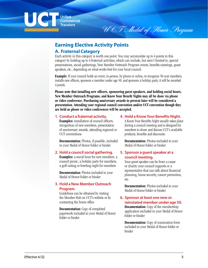

**Commercial Travelers** 

UCT Medal of Honor Program

# **Earning Elective Activity Points**

## **A. Fraternal Category**

Each activity in this category is worth one point. You may accumulate up to 4 points in this category by holding up to 4 fraternal activities, which can include, but aren't limited to, special presentations, social gatherings, New Member Outreach Program events, benefits meetings, guest speakers, etc., depending on what works best for your local council.

**Example:** If your council holds an event, in-person, by phone or online, to recognize 50-year members, installs new officers, sponsors a member under age 50, and sponsors a holiday party, it will be awarded 4 points.

**Please note that installing new officers, sponsoring guest speakers, and holding social hours, New Member Outreach Programs, and Know Your Benefit Nights may all be done via phone or video conference. Purchasing anniversary awards to present later will be considered a presentation. Attending your regional council convention and/or UCT convention though they are held as phone or video conferences will be accepted.**

### **1. Conduct a fraternal activity.**

**Examples:** installation of council officers, recognition of new members, presentation of anniversary awards, attending regional or UCT conventions

**Documentation:** Photos, if possible, included in your Medal of Honor folder or binder

### **2. Hold a council social gathering.**

**Examples:** a social hour for new members, a council picnic, a holiday party for members, a golf outing or bowling night for members

**Documentation:** Photos included in your Medal of Honor folder or binder

#### **3. Hold a New Member Outreach Program.**

Guidelines can be obtained by visiting the Member Hub on UCT's website or by contacting the home office

**Documentation:** Copy of completed paperwork included in your Medal of Honor folder or binder

#### **4. Hold a Know Your Benefits Night.**

A Know Your Benefits Night usually takes place during a council meeting and is designed for members to share and discuss UCT's available products, benefits and discounts.

**Documentation:** Photos included in your Medal of Honor folder or binder

### **5. Sponsor a guest speaker at a council meeting.**

Your guest speaker can be from a cause or charity your council supports or a representative that can talk about financial planning, home security, cancer prevention, etc.

**Documentation:** Photos included in your Medal of Honor folder or binder

#### **6. Sponsor at least one new or reinstated member under age 50. Documentation:** Copy of the membership

application included in your Medal of Honor folder or binder

**Documentation:** Copy of nomination form included in your Medal of Honor folder or binder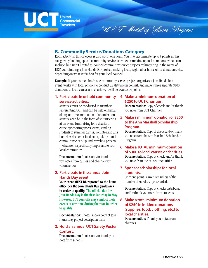## UC **United Commercial Travelers**

# **B. Community Service/Donations Category**

Each activity in this category is also worth one point. You may accumulate up to 4 points in this category by holding up to 4 community service activities or making up to 4 donations, which can include, but aren't limited to, council community service projects, volunteering in the name of UCT, coordinating a Join Hands Day project, making local, regional or home office donations, etc., depending on what works best for your local council.

**Example:** If your council holds one community service project, organizes a Join Hands Day event, works with local schools to conduct a safety poster contest, and makes three separate \$100 donations to local causes and charities, it will be awarded 4 points.

#### **1. Participate in or hold community service activities.**

Activities must be conducted as members representing UCT and can be held on behalf of any one or combination of organizations. Activities can be in the form of volunteering at an event, fundraising for a charity or cause, sponsoring sports teams, sending students to summer camps, volunteering at a homeless shelter or food bank, taking part in community clean-up and recycling projects – whatever is specifically important to your local community.

**Documentation:** Photos and/or thank you notes from causes and charities you volunteer for

#### **2. Participate in the annual Join Hands Day event.**

**Your event MUST BE reported to the home office per the Join Hands Day guidelines in order to qualify: The official day for Join Hands Day is the first Saturday in May. However, UCT councils may conduct their events at any time during the year in order to qualify.**

**Documentation:** Photos and/or copy of Join Hands Day project description form

#### **3. Hold an annual UCT Safety Poster Contest.**

**Documentation:** Photos and/or thank you note from schools

### **4. Make a minimum donation of \$250 to UCT Charities.**

U CT Medal of Honor Program

**Documentation:** Copy of check and/or thank you note from UCT Charities

#### **5. Make a minimum donation of \$250 to the Ann Marshall Scholarship Program.**

**Documentation:** Copy of check and/or thank you note from the Ann Marshall Scholarship Program

#### **6. Make a TOTAL minimum donation of \$300 to local causes or charities. Documentation:** Copy of check and/or thank you note from the causes or charities

### **7. Sponsor scholarships for local students.**

Only one point is given regardless of the number of scholarships awarded.

**Documentation:** Copy of checks distributed and/or thank you notes from students

### **8. Make a total minimum donation of \$250 in in-kind donations (supplies, food, clothing, etc.) to local charities.**

**Documentation:** Thank you notes from charities.

 $\overline{a}$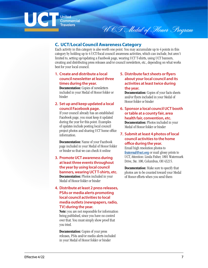

**United Commercial Travelers** 

# UCT Medal of Honor Program

## **C. UCT/Local Council Awareness Category**

Each activity in this category is also worth one point. You may accumulate up to 4 points in this category by holding up to 4 UCT/local council awareness activities, which can include, but aren't limited to, setting up/updating a Facebook page, wearing UCT T-shirts, using UCT banners, creating and distributing press releases and/or council newsletters, etc., depending on what works best for your local council.

### **1. Create and distribute a local council newsletter at least three times during the year.**

**Documentation:** Copies of newsletters included in your Medal of Honor folder or binder

#### **2. Set up and keep updated a local council Facebook page.**

If your council already has an established Facebook page, you must keep it updated during the year for this point. Examples of updates include posting local council project photos and sharing UCT home office information.

**Documentation:** Name of your Facebook page included in your Medal of Honor folder or binder so that we can check it online

**3. Promote UCT awareness during at least three events throughout the year by using local council banners, wearing UCT T-shirts, etc. Documentation:** Photos included in your Medal of Honor folder or binder

#### **4. Distribute at least 2 press releases, PSAs or media alerts promoting local council activities to local media outlets (newspapers, radio, TV) during the year.**

**Note:** you are not responsible for information being published, since you have no control over that. You must simply show proof that you tried.

**Documentation:** Copies of your press releases, PSAs and/or media alerts included in your Medal of Honor folder or binder

### **5. Distribute fact sheets or flyers about your local council and its activities at least twice during the year.**

**Documentation:** Copies of your facts sheets and/or flyers included in your Medal of Honor folder or binder

**6. Sponsor a local council UCT booth or table at a county fair, area health fair, convention, etc. Documentation:** Photos included in your

Medal of Honor folder or binder **7. Submit at least 4 photos of local** 

#### **council activities to the home office during the year.**

Email high resolution photos to **fraternal@uct.org** or mail glossy prints to UCT, Attention: Linda Fisher, 1801 Watermark Drive, Ste. 100, Columbus, OH 43215.

**Documentation:** Make sure to specify that photos are to be counted toward your Medal of Honor efforts when you send them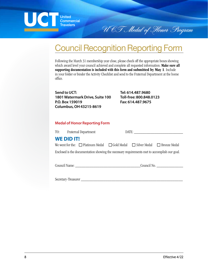

# Council Recognition Reporting Form

Following the March 31 membership year close, please check off the appropriate boxes showing which award level your council achieved and complete all requested information. **Make sure all supporting documentation is included with this form and submitted by May 1**. Include in your folder or binder the Activity Checklist and send to the Fraternal Department at the home office.

**Send to UCT: 1801 Watermark Drive, Suite 100 P.O. Box 159019 Columbus, OH 43215-8619**

**Tel: 614.487.9680 Toll-free: 800.848.0123 Fax: 614.487.9675**

UCT Medal of Honor Program

## **Medal of Honor Reporting Form**

|                                                                                              | TO: Fraternal Department |                                                                                                  |  | DATE: |  |
|----------------------------------------------------------------------------------------------|--------------------------|--------------------------------------------------------------------------------------------------|--|-------|--|
|                                                                                              | <b>WE DID IT!</b>        |                                                                                                  |  |       |  |
|                                                                                              |                          | We went for the: $\Box$ Platinum Medal $\Box$ Gold Medal $\Box$ Silver Medal $\Box$ Bronze Medal |  |       |  |
| Enclosed is the documentation showing the necessary requirements met to accomplish our goal. |                          |                                                                                                  |  |       |  |

Council Name: \_\_\_\_\_\_\_\_\_\_\_\_\_\_\_\_\_\_\_\_\_\_\_\_\_\_\_\_\_\_\_\_Council No. \_\_\_\_\_\_\_\_\_\_\_\_\_

Secretary-Treasurer \_\_\_\_\_\_\_\_\_\_\_\_\_\_\_\_\_\_\_\_\_\_\_\_\_\_\_\_\_\_\_\_\_\_\_\_\_\_\_\_\_\_\_\_\_\_\_\_\_\_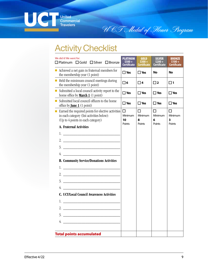

U CT Medal of Honor Program

# **Activity Checklist**

| We did it! We went for:<br>$\Box$ Platinum $\Box$ Gold $\Box$ Silver $\Box$ Bronze                                                                  | <b>PLATINUM</b><br>S500+<br><b>Certificate</b> | <b>GOLD</b><br>S300+<br><b>Certificate</b> | <b>SILVER</b><br>S200+<br><b>Certificate</b> | <b>BRONZE</b><br>Certificate |
|-----------------------------------------------------------------------------------------------------------------------------------------------------|------------------------------------------------|--------------------------------------------|----------------------------------------------|------------------------------|
| $\blacksquare$ Achieved a net gain in fraternal members for<br>the membership year (1 point)                                                        | $\Box$ Yes                                     | $\Box$ Yes                                 | No                                           | No                           |
| $\blacksquare$ Held the minimum council meetings during<br>the membership year (1 point)                                                            | $\Box$ 6                                       | $\Box$ 4                                   | $\Box$ 2                                     | $\Box$ 1                     |
| Submitted a local council activity report to the<br>$\mathcal{L}_{\mathcal{A}}$<br>home office by <b>March 1</b> (1 point)                          | $\square$ Yes                                  | $\Box$ Yes                                 | $\Box$ Yes                                   | $\square$ Yes                |
| Submitted local council officers to the home<br>office by <b><u>June 1</u></b> $(1 \text{ point})$                                                  | $\square$ Yes                                  | $\Box$ Yes                                 | $\square$ Yes                                | $\square$ Yes                |
| $\blacksquare$ Earned the required points for elective activities<br>in each category (list activities below):<br>(Up to 4 points in each category) | П<br>Minimum<br>10<br>Points                   | П<br>Minimum<br>8<br>Points                | П<br>Minimum<br>6<br>Points                  | П<br>Minimum<br>3<br>Points  |
| A. Fraternal Activities                                                                                                                             |                                                |                                            |                                              |                              |
|                                                                                                                                                     |                                                |                                            |                                              |                              |
| 2. $\overline{\phantom{a}}$                                                                                                                         |                                                |                                            |                                              |                              |
|                                                                                                                                                     |                                                |                                            |                                              |                              |
|                                                                                                                                                     |                                                |                                            |                                              |                              |
| <b>B. Community Service/Donations Activities</b>                                                                                                    |                                                |                                            |                                              |                              |
|                                                                                                                                                     |                                                |                                            |                                              |                              |
|                                                                                                                                                     |                                                |                                            |                                              |                              |
|                                                                                                                                                     |                                                |                                            |                                              |                              |
| $4. \_$                                                                                                                                             |                                                |                                            |                                              |                              |
| <b>C. UCT/Local Council Awareness Activities</b>                                                                                                    |                                                |                                            |                                              |                              |
| 1.                                                                                                                                                  |                                                |                                            |                                              |                              |
|                                                                                                                                                     |                                                |                                            |                                              |                              |
| 3.                                                                                                                                                  |                                                |                                            |                                              |                              |
| 4.                                                                                                                                                  |                                                |                                            |                                              |                              |
|                                                                                                                                                     |                                                |                                            |                                              |                              |
| <b>Total points accumulated</b>                                                                                                                     |                                                |                                            |                                              |                              |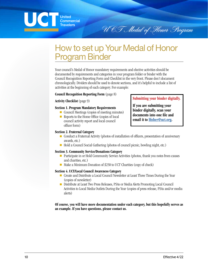

How to set up Your Medal of Honor Program Binder

Your council's Medal of Honor mandatory requirements and elective activities should be documented by requirements and categories in your program folder or binder with the Council Recognition Reporting Form and Checklist in the very front. Please don't document chronologically. Dividers should be used to denote sections, and it's helpful to include a list of activities at the beginning of each category. For example:

#### **Council Recognition Reporting Form** (page 8)

#### **Activity Checklist** (page 9)

#### **Section 1. Program Mandatory Requirements**

- Council Meetings (copies of meeting minutes)
- Reports to the Home Office (copies of local council activity report and local council officer form)

### **Submitting your binder digitally.**

U CT Medal of Honor Program

**If you are submitting your binder digitally, scan your documents into one file and email it to lfisher@uct.org.**

#### **Section 2. Fraternal Category**

- Conduct a Fraternal Activity (photos of installation of officers, presentation of anniversary awards, etc.)
- Hold a Council Social Gathering (photos of council picnic, bowling night, etc.)

#### **Section 3. Community Service/Donations Category**

- Participate in or Hold Community Service Activities (photos, thank you notes from causes and charities, etc.)
- Make a Minimum Donation of \$250 to UCT Charities (copy of check)

#### **Section 4. UCT/Local Council Awareness Category**

- Create and Distribute a Local Council Newsletter at Least Three Times During the Year (copies of newsletter)
- Distribute at Least Two Press Releases, PSAs or Media Alerts Promoting Local Council Activities to Local Media Outlets During the Year (copies of press release, PSAs and/or media alerts)

**Of course, you will have more documentation under each category, but this hopefully serves as an example. If you have questions, please contact us.**